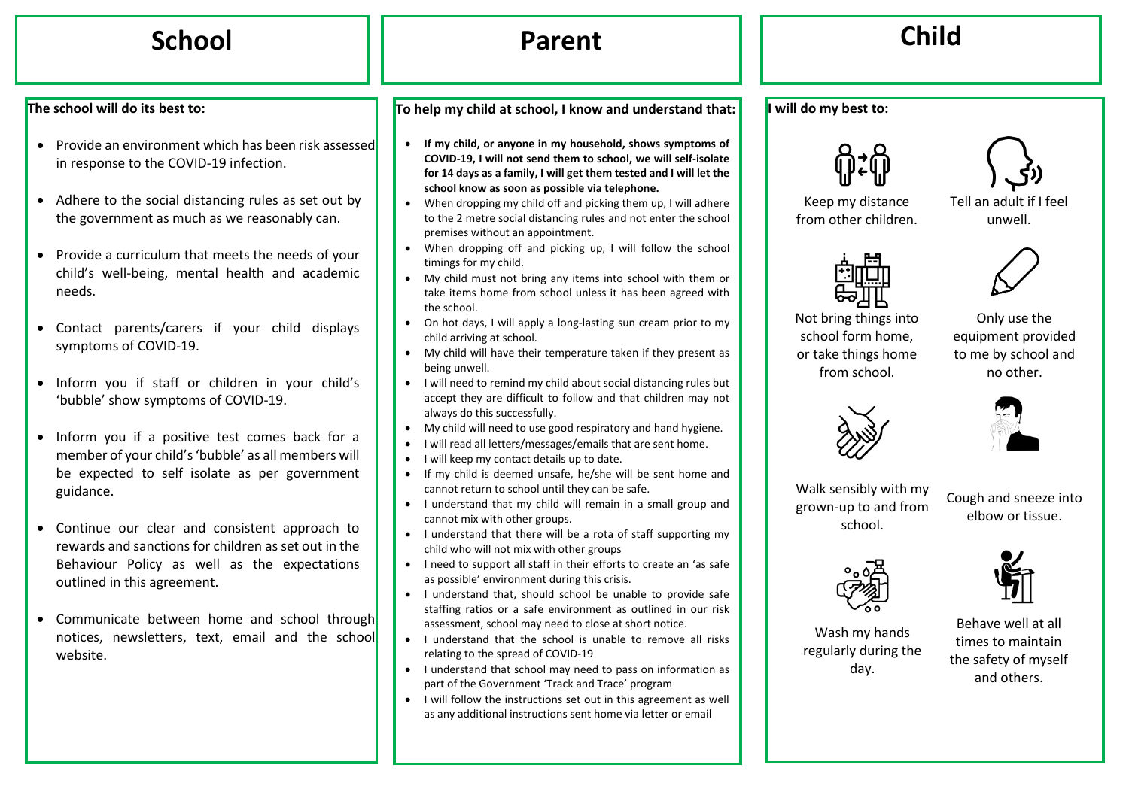# **School Parent Child**

### **The school will do its best to:**

- Provide an environment which has been risk assessed in response to the COVID-19 infection.
- Adhere to the social distancing rules as set out by the government as much as we reasonably can.
- Provide a curriculum that meets the needs of your child's well-being, mental health and academic needs.
- Contact parents/carers if your child displays symptoms of COVID-19.
- Inform you if staff or children in your child's 'bubble' show symptoms of COVID-19.
- Inform you if a positive test comes back for a member of your child's 'bubble' as all members will be expected to self isolate as per government guidance.
- Continue our clear and consistent approach to rewards and sanctions for children as set out in the Behaviour Policy as well as the expectations outlined in this agreement.
- Communicate between home and school through notices, newsletters, text, email and the school website.

**To help my child at school, I know and understand that:**

- **If my child, or anyone in my household, shows symptoms of COVID-19, I will not send them to school, we will self-isolate for 14 days as a family, I will get them tested and I will let the school know as soon as possible via telephone.**
- When dropping my child off and picking them up, I will adhere to the 2 metre social distancing rules and not enter the school premises without an appointment.
- When dropping off and picking up, I will follow the school timings for my child.
- My child must not bring any items into school with them or take items home from school unless it has been agreed with the school.
- On hot days, I will apply a long-lasting sun cream prior to my child arriving at school.
- My child will have their temperature taken if they present as being unwell.
- I will need to remind my child about social distancing rules but accept they are difficult to follow and that children may not always do this successfully.
- My child will need to use good respiratory and hand hygiene.
- I will read all letters/messages/emails that are sent home.
- I will keep my contact details up to date.
- If my child is deemed unsafe, he/she will be sent home and cannot return to school until they can be safe.
- I understand that my child will remain in a small group and cannot mix with other groups.
- I understand that there will be a rota of staff supporting my child who will not mix with other groups
- I need to support all staff in their efforts to create an 'as safe as possible' environment during this crisis.
- I understand that, should school be unable to provide safe staffing ratios or a safe environment as outlined in our risk assessment, school may need to close at short notice.
- I understand that the school is unable to remove all risks relating to the spread of COVID-19
- I understand that school may need to pass on information as part of the Government 'Track and Trace' program
- I will follow the instructions set out in this agreement as well as any additional instructions sent home via letter or email



**I will do my best to:**

Keep my distance from other children.

Tell an adult if I feel unwell.



Not bring things into school form home, or take things home from school.





Walk sensibly with my grown-up to and from school.

Cough and sneeze into elbow or tissue.



Wash my hands regularly during the day.

Behave well at all times to maintain the safety of myself and others.